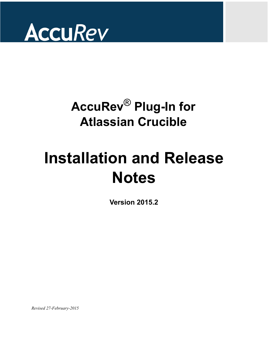

# **AccuRev**® **Plug-In for Atlassian Crucible**

# **Installation and Release Notes**

**Version 2015.2**

*Revised 27-February-2015*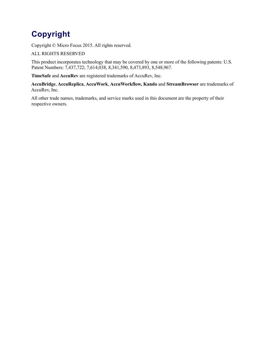## **Copyright**

Copyright © Micro Focus 2015. All rights reserved.

#### ALL RIGHTS RESERVED

This product incorporates technology that may be covered by one or more of the following patents: U.S. Patent Numbers: 7,437,722; 7,614,038, 8,341,590, 8,473,893, 8,548,967.

**TimeSafe** and **AccuRev** are registered trademarks of AccuRev, Inc.

**AccuBridge**, **AccuReplica**, **AccuWork**, **AccuWorkflow, Kando** and **StreamBrowser** are trademarks of AccuRev, Inc.

All other trade names, trademarks, and service marks used in this document are the property of their respective owners.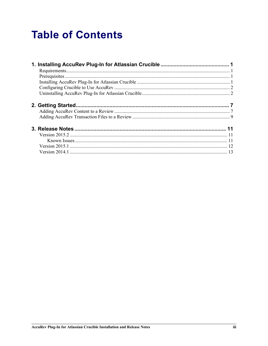## **Table of Contents**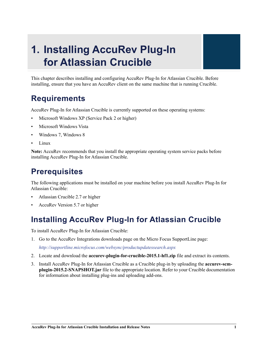## <span id="page-4-0"></span>**1. Installing AccuRev Plug-In for Atlassian Crucible**

This chapter describes installing and configuring AccuRev Plug-In for Atlassian Crucible. Before installing, ensure that you have an AccuRev client on the same machine that is running Crucible.

## <span id="page-4-1"></span>**Requirements**

AccuRev Plug-In for Atlassian Crucible is currently supported on these operating systems:

- Microsoft Windows XP (Service Pack 2 or higher)
- Microsoft Windows Vista
- Windows 7, Windows 8
- Linux

**Note:** AccuRev recommends that you install the appropriate operating system service packs before installing AccuRev Plug-In for Atlassian Crucible.

## <span id="page-4-2"></span>**Prerequisites**

The following applications must be installed on your machine before you install AccuRev Plug-In for Atlassian Crucible:

- Atlassian Crucible 2.7 or higher
- AccuRev Version 5.7 or higher

## <span id="page-4-3"></span>**Installing AccuRev Plug-In for Atlassian Crucible**

To install AccuRev Plug-In for Atlassian Crucible:

1. Go to the AccuRev Integrations downloads page on the Micro Focus SupportLine page:

*http://supportline.microfocus.com/websync/productupdatessearch.aspx*

- 2. Locate and download the **accurev-plugin-for-crucible-2015.1-hf1.zip** file and extract its contents.
- 3. Install AccuRev Plug-In for Atlassian Crucible as a Crucible plug-in by uploading the **accurev-scmplugin-2015.2-SNAPSHOT.jar** file to the appropriate location. Refer to your Crucible documentation for information about installing plug-ins and uploading add-ons.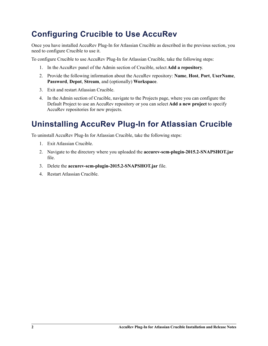## <span id="page-5-0"></span>**Configuring Crucible to Use AccuRev**

Once you have installed AccuRev Plug-In for Atlassian Crucible as described in the previous section, you need to configure Crucible to use it.

To configure Crucible to use AccuRev Plug-In for Atlassian Crucible, take the following steps:

- 1. In the AccuRev panel of the Admin section of Crucible, select **Add a repository**.
- 2. Provide the following information about the AccuRev repository: **Name**, **Host**, **Port**, **UserName**, **Password**, **Depot**, **Stream**, and (optionally) **Workspace**.
- 3. Exit and restart Atlassian Crucible.
- 4. In the Admin section of Crucible, navigate to the Projects page, where you can configure the Default Project to use an AccuRev repository or you can select **Add a new project** to specify AccuRev repositories for new projects.

## <span id="page-5-1"></span>**Uninstalling AccuRev Plug-In for Atlassian Crucible**

To uninstall AccuRev Plug-In for Atlassian Crucible, take the following steps:

- 1. Exit Atlassian Crucible.
- 2. Navigate to the directory where you uploaded the **accurev-scm-plugin-2015.2-SNAPSHOT.jar** file.
- 3. Delete the **accurev-scm-plugin-2015.2-SNAPSHOT.jar** file.
- <span id="page-5-2"></span>4. Restart Atlassian Crucible.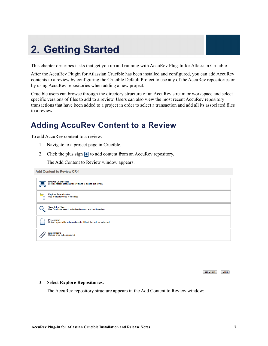## <span id="page-6-0"></span>**2. Getting Started**

This chapter describes tasks that get you up and running with AccuRev Plug-In for Atlassian Crucible.

After the AccuRev Plugin for Atlassian Crucible has been installed and configured, you can add AccuRev contents to a review by configuring the Crucible Default Project to use any of the AccuRev repositories or by using AccuRev repositories when adding a new project.

Crucible users can browse through the directory structure of an AccuRev stream or workspace and select specific versions of files to add to a review. Users can also view the most recent AccuRev repository transactions that have been added to a project in order to select a transaction and add all its associated files to a review.

## <span id="page-6-1"></span>**Adding AccuRev Content to a Review**

To add AccuRev content to a review:

- 1. Navigate to a project page in Crucible.
- 2. Click the plus sign  $\overline{+}$  to add content from an AccuRev repository.

The Add Content to Review window appears:

|         | <b>Add Content to Review CR-1</b>                                                   |
|---------|-------------------------------------------------------------------------------------|
| 負       | Browse Changesets<br>Browse recent changes for revisions to add to this review      |
| Ò<br>पन | Explore Repositories<br>Use a directory tree to find files                          |
|         | Search for Files<br>Use Crucible's search to find revisions to add to this review   |
| ŧ.      | Pre-commit<br>Upload a patch file to be reviewed - diffs of files will be extracted |
|         | Attachments<br>Upload a file to be reviewed                                         |
|         |                                                                                     |
|         |                                                                                     |
|         |                                                                                     |

#### 3. Select **Explore Repositories.**

The AccuRev repository structure appears in the Add Content to Review window:

Edit Details Done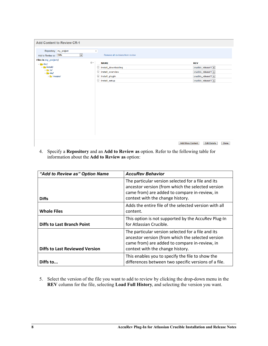| <b>Add Content to Review CR-1</b>                    |                        |                    |                                  |                         |                             |
|------------------------------------------------------|------------------------|--------------------|----------------------------------|-------------------------|-----------------------------|
| Repository: my_project<br>Add to Review as: Diffs    | $\boxed{\blacksquare}$ | $\bar{\mathbf{v}}$ | Remove all revisions from review |                         |                             |
| Files in my_project/                                 |                        |                    |                                  |                         |                             |
| $-\triangleq$ doc/                                   |                        | 给▼                 | <b>NAME</b>                      |                         | <b>REV</b>                  |
| $\overline{\phantom{a}}$ install/                    |                        |                    | install_downloading              |                         | crucible_release\1 -        |
| $\triangleright$ $\blacksquare$ ja/<br>$-\sqrt{en/}$ |                        |                    | $\Box$ install_overview          |                         | crucible_release\1 ~        |
| $\triangleright$ $\blacksquare$ images/              |                        |                    | $\Box$ install_plugin            |                         | crucible_release\1 ~        |
|                                                      |                        |                    | install_setup                    |                         | crucible_release\1 -        |
|                                                      |                        |                    |                                  |                         |                             |
|                                                      |                        |                    |                                  | <b>Add More Content</b> | <b>Edit Details</b><br>Done |

4. Specify a **Repository** and an **Add to Review as** option. Refer to the following table for information about the **Add to Review as** option:

| "Add to Review as" Option Name        | <b>AccuRev Behavior</b>                                                                                                                                                                      |
|---------------------------------------|----------------------------------------------------------------------------------------------------------------------------------------------------------------------------------------------|
| <b>Diffs</b>                          | The particular version selected for a file and its<br>ancestor version (from which the selected version<br>came from) are added to compare in-review, in<br>context with the change history. |
| <b>Whole Files</b>                    | Adds the entire file of the selected version with all<br>content.                                                                                                                            |
| <b>Diffs to Last Branch Point</b>     | This option is not supported by the AccuRev Plug-In<br>for Atlassian Crucible.                                                                                                               |
| <b>Diffs to Last Reviewed Version</b> | The particular version selected for a file and its<br>ancestor version (from which the selected version<br>came from) are added to compare in-review, in<br>context with the change history. |
| Diffs to                              | This enables you to specify the file to show the<br>differences between two specific versions of a file.                                                                                     |

5. Select the version of the file you want to add to review by clicking the drop-down menu in the **REV** column for the file, selecting **Load Full History**, and selecting the version you want.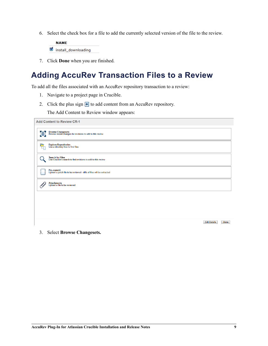6. Select the check box for a file to add the currently selected version of the file to the review.

**NAME** ■ install\_downloading

7. Click **Done** when you are finished.

### <span id="page-8-0"></span>**Adding AccuRev Transaction Files to a Review**

To add all the files associated with an AccuRev repository transaction to a review:

- 1. Navigate to a project page in Crucible.
- 2. Click the plus sign  $\overline{+}$  to add content from an AccuRev repository.

The Add Content to Review window appears:

|          | <b>Add Content to Review CR-1</b>                                                        |
|----------|------------------------------------------------------------------------------------------|
| 自        | Browse Changesets<br>Browse recent changes for revisions to add to this review           |
| رص<br>ान | Explore Repositories<br>Use a directory tree to find files                               |
|          | <b>Search for Files</b><br>Use Crucible's search to find revisions to add to this review |
|          | Pre-commit<br>Upload a patch file to be reviewed - diffs of files will be extracted      |
|          | <b>Attachments</b><br>Upload a file to be reviewed                                       |
|          |                                                                                          |
|          |                                                                                          |

Edit Details Done

3. Select **Browse Changesets.**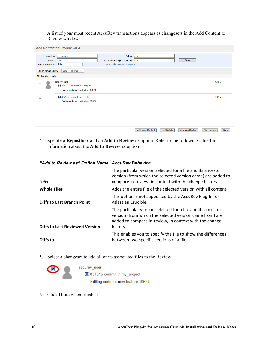A list of your most recent AccuRev transactions appears as changesets in the Add Content to Review window:

| <b>Add Content to Review CR-3</b> |                                                                                                                                                                                                              |           |
|-----------------------------------|--------------------------------------------------------------------------------------------------------------------------------------------------------------------------------------------------------------|-----------|
| Add to Review as: Diffs           | Repository: my_project<br>Author: any<br>$\overline{\phantom{a}}$<br>$\overline{\phantom{a}}$<br>Apply<br>Branch: any<br>Commit message / Issue key: any<br>Remove all revisions from review<br>$\checkmark$ |           |
| Show newer activity               | Scroll to changeset                                                                                                                                                                                          |           |
| Wednesday 15 Jan<br>A             | accurev_user<br>137316 commit in my_project<br>Editing code for new feature 10624                                                                                                                            | $9:42$ am |
| ⊟                                 | 圓 837315 commit in my_project<br>Adding code for new feature 10624                                                                                                                                           | 8:37 am   |
|                                   |                                                                                                                                                                                                              |           |

4. Specify a **Repository** and an **Add to Review as** option. Refer to the following table for information about the **Add to Review as** option:

| "Add to Review as" Option Name   AccuRev Behavior |                                                                                                                                                                                              |
|---------------------------------------------------|----------------------------------------------------------------------------------------------------------------------------------------------------------------------------------------------|
| <b>Diffs</b>                                      | The particular version selected for a file and its ancestor<br>version (from which the selected version came) are added to<br>compare in-review, in context with the change history.         |
| <b>Whole Files</b>                                | Adds the entire file of the selected version with all content.                                                                                                                               |
| <b>Diffs to Last Branch Point</b>                 | This option is not supported by the AccuRev Plug-In for<br>Atlassian Crucible.                                                                                                               |
| <b>Diffs to Last Reviewed Version</b>             | The particular version selected for a file and its ancestor<br>version (from which the selected version came from) are<br>added to compare in-review, in context with the change<br>history. |
| Diffs to                                          | This enables you to specify the file to show the differences<br>between two specific versions of a file.                                                                                     |

5. Select a changeset to add all of its associated files to the Review.

accurev user 137316 commit in my\_project Editing code for new feature 10624

6. Click **Done** when finished.

Add More Content | Edit Details | Abandon Review | Start Review | Done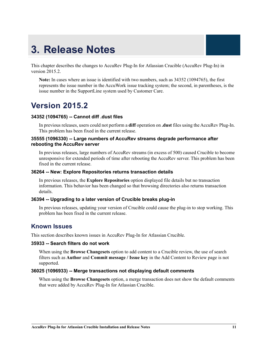## <span id="page-10-0"></span>**3. Release Notes**

This chapter describes the changes to AccuRev Plug-In for Atlassian Crucible (AccuRev Plug-In) in version 2015.2.

**Note:** In cases where an issue is identified with two numbers, such as 34352 (1094765), the first represents the issue number in the AccuWork issue tracking system; the second, in parentheses, is the issue number in the SupportLine system used by Customer Care.

### <span id="page-10-1"></span>**Version 2015.2**

#### **34352 (1094765) -- Cannot diff .dust files**

In previous releases, users could not perform a **diff** operation on **.dust** files using the AccuRev Plug-In. This problem has been fixed in the current release.

#### **35555 (1096330) -- Large numbers of AccuRev streams degrade performance after rebooting the AccuRev server**

In previous releases, large numbers of AccuRev streams (in excess of 500) caused Crucible to become unresponsive for extended periods of time after rebooting the AccuRev server. This problem has been fixed in the current release.

#### **36264 -- New: Explore Repositories returns transaction details**

In previous releases, the **Explore Repositories** option displayed file details but no transaction information. This behavior has been changed so that browsing directories also returns transaction details.

#### **36394 -- Upgrading to a later version of Crucible breaks plug-in**

In previous releases, updating your version of Crucible could cause the plug-in to stop working. This problem has been fixed in the current release.

#### <span id="page-10-2"></span>**Known Issues**

This section describes known issues in AccuRev Plug-In for Atlassian Crucible.

#### **35933 -- Search filters do not work**

When using the **Browse Changesets** option to add content to a Crucible review, the use of search filters such as **Author** and **Commit message / Issue key** in the Add Content to Review page is not supported.

#### **36025 (1096933) -- Merge transactions not displaying default comments**

When using the **Browse Changesets** option, a merge transaction does not show the default comments that were added by AccuRev Plug-In for Atlassian Crucible.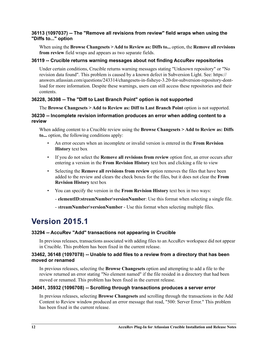#### **36113 (1097037) -- The "Remove all revisions from review" field wraps when using the "Diffs to..." option**

When using the **Browse Changesets > Add to Review as: Diffs to...** option, the **Remove all revisions from review** field wraps and appears as two separate fields.

#### **36119 -- Crucible returns warning messages about not finding AccuRev repositories**

Under certain conditions, Crucible returns warning messages stating "Unknown repository" or "No revision data found". This problem is caused by a known defect in Subversion Light. See: https:// answers.atlassian.com/questions/243314/changesets-in-fisheye-3.20-for-subversion-repository-dontload for more information. Despite these warnings, users can still access these repositories and their contents.

#### **36228, 36398 -- The "Diff to Last Branch Point" option is not supported**

The **Browse Changesets > Add to Review as: Diff to Last Branch Point** option is not supported.

#### **36230 -- Incomplete revision information produces an error when adding content to a review**

When adding content to a Crucible review using the **Browse Changesets > Add to Review as: Diffs to...** option, the following conditions apply:

- An error occurs when an incomplete or invalid version is entered in the **From Revision History** text box
- If you do not select the **Remove all revisions from review** option first, an error occurs after entering a version in the **From Revision History** text box and clicking a file to view
- Selecting the **Remove all revisions from review** option removes the files that have been added to the review and clears the check boxes for the files, but it does not clear the **From Revision History** text box
- You can specify the version in the **From Revision History** text box in two ways:
	- **elementID:streamNumber\versionNumber**: Use this format when selecting a single file.
	- s**treamNumber\versionNumber** Use this format when selecting multiple files.

### <span id="page-11-0"></span>**Version 2015.1**

#### **33294 -- AccuRev "Add" transactions not appearing in Crucible**

In previous releases, transactions associated with adding files to an AccuRev workspace did not appear in Crucible. This problem has been fixed in the current release.

#### **33462, 36148 (1097078) -- Unable to add files to a review from a directory that has been moved or renamed**

In previous releases, selecting the **Browse Changesets** option and attempting to add a file to the review returned an error stating "No element named" if the file resided in a directory that had been moved or renamed. This problem has been fixed in the current release.

#### **34041, 35932 (1096708) -- Scrolling through transactions produces a server error**

In previous releases, selecting **Browse Changesets** and scrolling through the transactions in the Add Content to Review window produced an error message that read, "500: Server Error." This problem has been fixed in the current release.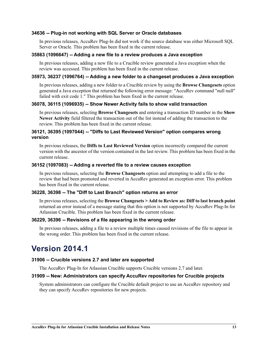#### **34636 -- Plug-in not working with SQL Server or Oracle databases**

In previous releases, AccuRev Plug-In did not work if the source database was either Microsoft SQL Server or Oracle. This problem has been fixed in the current release.

#### **35863 (1096647) -- Adding a new file to a review produces a Java exception**

In previous releases, adding a new file to a Crucible review generated a Java exception when the review was accessed. This problem has been fixed in the current release.

#### **35973, 36237 (1096764) -- Adding a new folder to a changeset produces a Java exception**

In previous releases, adding a new folder to a Crucible review by using the **Browse Changesets** option generated a Java exception that returned the following error message: "AccuRev command "null null" failed with exit code 1." This problem has been fixed in the current release.

#### **36078, 36115 (1096935) -- Show Newer Activity fails to show valid transaction**

In previous releases, selecting **Browse Changesets** and entering a transaction ID number in the **Show Newer Activity** field filtered the transaction out of the list instead of adding the transaction to the review. This problem has been fixed in the current release.

#### **36121, 36395 (1097044) -- "Diffs to Last Reviewed Version" option compares wrong version**

In previous releases, the **Diffs to Last Reviewed Version** option incorrectly compared the current version with the ancestor of the version contained in the last review. This problem has been fixed in the current release.

#### **36152 (1097083) -- Adding a reverted file to a review causes exception**

In previous releases, selecting the **Browse Changesets** option and attempting to add a file to the review that had been promoted and reverted in AccuRev generated an exception error. This problem has been fixed in the current release.

#### **36228, 36398 -- The "Diff to Last Branch" option returns an error**

In previous releases, selecting the **Browse Changesets > Add to Review as: Diff to last branch point** returned an error instead of a message stating that this option is not supported by AccuRev Plug-In for Atlassian Crucible. This problem has been fixed in the current release.

#### **36229, 36396 -- Revisions of a file appearing in the wrong order**

In previous releases, adding a file to a review multiple times caused revisions of the file to appear in the wrong order. This problem has been fixed in the current release.

### <span id="page-12-0"></span>**Version 2014.1**

#### **31906 -- Crucible versions 2.7 and later are supported**

The AccuRev Plug-In for Atlassian Crucible supports Crucible versions 2.7 and later.

#### **31909 -- New: Administrators can specify AccuRev repositories for Crucible projects**

System administrators can configure the Crucible default project to use an AccuRev repository and they can specify AccuRev repositories for new projects.